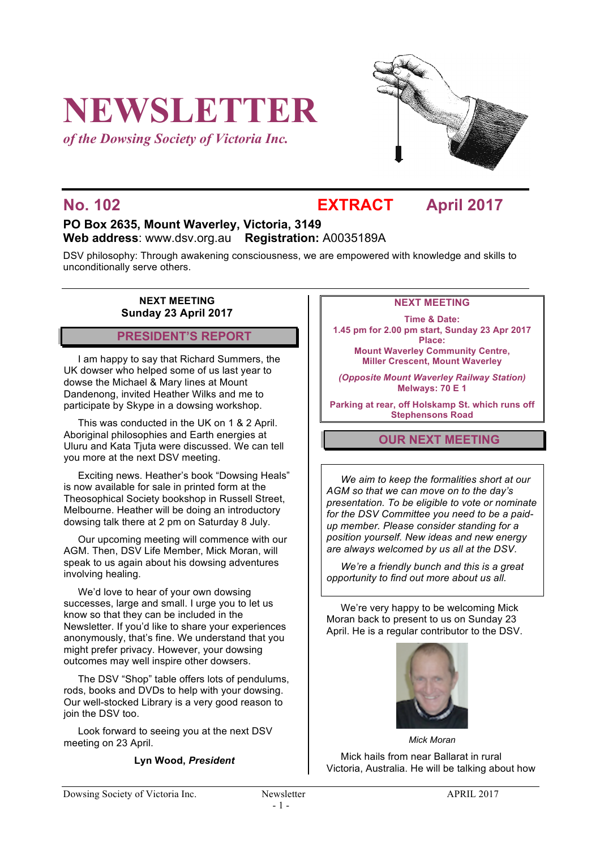# **NEWSLETTER**

*of the Dowsing Society of Victoria Inc.*



### **No. 102 EXTRACT April 2017**

#### **PO Box 2635, Mount Waverley, Victoria, 3149 Web address**: www.dsv.org.au **Registration:** A0035189A

DSV philosophy: Through awakening consciousness, we are empowered with knowledge and skills to unconditionally serve others.

#### **NEXT MEETING Sunday 23 April 2017**

#### **PRESIDENT'S REPORT**

I am happy to say that Richard Summers, the UK dowser who helped some of us last year to dowse the Michael & Mary lines at Mount Dandenong, invited Heather Wilks and me to participate by Skype in a dowsing workshop.

This was conducted in the UK on 1 & 2 April. Aboriginal philosophies and Earth energies at Uluru and Kata Tjuta were discussed. We can tell you more at the next DSV meeting.

Exciting news. Heather's book "Dowsing Heals" is now available for sale in printed form at the Theosophical Society bookshop in Russell Street, Melbourne. Heather will be doing an introductory dowsing talk there at 2 pm on Saturday 8 July.

Our upcoming meeting will commence with our AGM. Then, DSV Life Member, Mick Moran, will speak to us again about his dowsing adventures involving healing.

We'd love to hear of your own dowsing successes, large and small. I urge you to let us know so that they can be included in the Newsletter. If you'd like to share your experiences anonymously, that's fine. We understand that you might prefer privacy. However, your dowsing outcomes may well inspire other dowsers.

The DSV "Shop" table offers lots of pendulums, rods, books and DVDs to help with your dowsing. Our well-stocked Library is a very good reason to join the DSV too.

Look forward to seeing you at the next DSV meeting on 23 April.

**Lyn Wood,** *President*

#### **NEXT MEETING**

**Time & Date: 1.45 pm for 2.00 pm start, Sunday 23 Apr 2017 Place: Mount Waverley Community Centre, Miller Crescent, Mount Waverley**

*(Opposite Mount Waverley Railway Station)* **Melways: 70 E 1**

**Parking at rear, off Holskamp St. which runs off Stephensons Road**

#### **OUR NEXT MEETING**

*We aim to keep the formalities short at our AGM so that we can move on to the day's presentation. To be eligible to vote or nominate for the DSV Committee you need to be a paidup member. Please consider standing for a position yourself. New ideas and new energy are always welcomed by us all at the DSV.* 

*We're a friendly bunch and this is a great opportunity to find out more about us all.*

We're very happy to be welcoming Mick Moran back to present to us on Sunday 23 April. He is a regular contributor to the DSV.



*Mick Moran*

Mick hails from near Ballarat in rural Victoria, Australia. He will be talking about how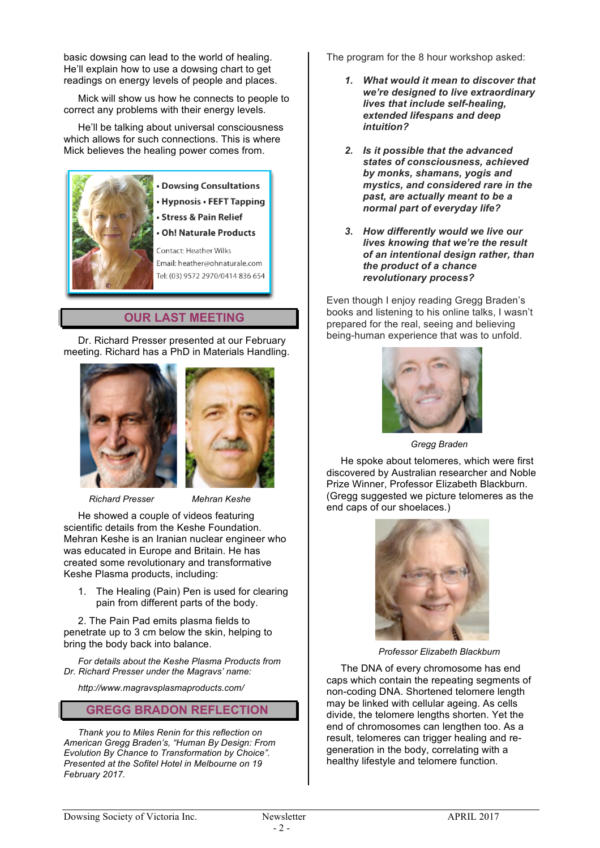basic dowsing can lead to the world of healing. He'll explain how to use a dowsing chart to get readings on energy levels of people and places.

Mick will show us how he connects to people to correct any problems with their energy levels.

He'll be talking about universal consciousness which allows for such connections. This is where Mick believes the healing power comes from.



#### • Dowsing Consultations • Hypnosis • FEFT Tapping

**Stress & Pain Relief** 

#### **Oh! Naturale Products**

Contact: Heather Wilks Email: heather@ohnaturale.com Tel: (03) 9572 2970/0414 836 654

#### **OUR LAST MEETING**

Dr. Richard Presser presented at our February meeting. Richard has a PhD in Materials Handling.





*Richard Presser Mehran Keshe*

He showed a couple of videos featuring scientific details from the Keshe Foundation. Mehran Keshe is an Iranian nuclear engineer who was educated in Europe and Britain. He has created some revolutionary and transformative Keshe Plasma products, including:

1. The Healing (Pain) Pen is used for clearing pain from different parts of the body.

2. The Pain Pad emits plasma fields to penetrate up to 3 cm below the skin, helping to bring the body back into balance.

*For details about the Keshe Plasma Products from Dr. Richard Presser under the Magravs' name:*

*http://www.magravsplasmaproducts.com/*

#### **GREGG BRADON REFLECTION**

*Thank you to Miles Renin for this reflection on American Gregg Braden's, "Human By Design: From Evolution By Chance to Transformation by Choice". Presented at the Sofitel Hotel in Melbourne on 19 February 2017.*

The program for the 8 hour workshop asked:

- *1. What would it mean to discover that we're designed to live extraordinary lives that include self-healing, extended lifespans and deep intuition?*
- *2. Is it possible that the advanced states of consciousness, achieved by monks, shamans, yogis and mystics, and considered rare in the past, are actually meant to be a normal part of everyday life?*
- *3. How differently would we live our lives knowing that we're the result of an intentional design rather, than the product of a chance revolutionary process?*

Even though I enjoy reading Gregg Braden's books and listening to his online talks, I wasn't prepared for the real, seeing and believing being-human experience that was to unfold.



*Gregg Braden*

He spoke about telomeres, which were first discovered by Australian researcher and Noble Prize Winner, Professor Elizabeth Blackburn. (Gregg suggested we picture telomeres as the end caps of our shoelaces.)



*Professor Elizabeth Blackburn*

The DNA of every chromosome has end caps which contain the repeating segments of non-coding DNA. Shortened telomere length may be linked with cellular ageing. As cells divide, the telomere lengths shorten. Yet the end of chromosomes can lengthen too. As a result, telomeres can trigger healing and regeneration in the body, correlating with a healthy lifestyle and telomere function.